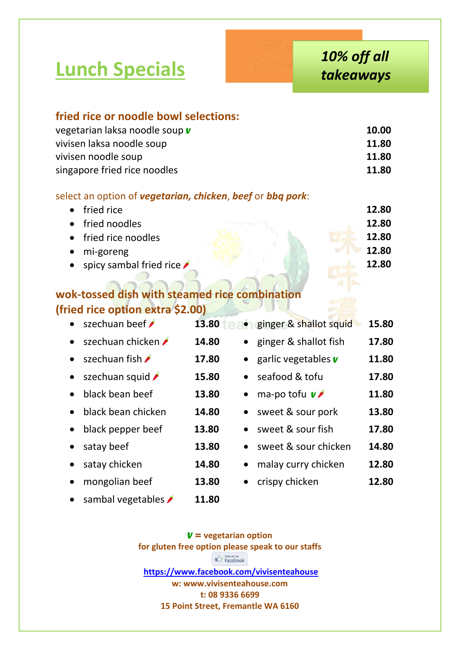**Lunch Specials**

| fried rice or noodle bowl selections:<br>vegetarian laksa noodle soup v |                    |                          | 10.00 |
|-------------------------------------------------------------------------|--------------------|--------------------------|-------|
| vivisen laksa noodle soup                                               |                    |                          | 11.80 |
| vivisen noodle soup                                                     |                    |                          | 11.80 |
| singapore fried rice noodles                                            |                    |                          | 11.80 |
| select an option of vegetarian, chicken, beef or bbq pork:              |                    |                          |       |
| fried rice                                                              |                    |                          | 12.80 |
| fried noodles                                                           |                    |                          | 12.80 |
| fried rice noodles                                                      |                    |                          | 12.80 |
| mi-goreng                                                               |                    |                          | 12.80 |
| spicy sambal fried rice                                                 |                    |                          | 12.80 |
|                                                                         |                    |                          |       |
| wok-tossed dish with steamed rice combination                           |                    |                          |       |
| (fried rice option extra \$2.00)                                        |                    |                          |       |
| szechuan beef                                                           | 13.80              | • ginger & shallot squid | 15.80 |
| szechuan chicken <b>/</b>                                               | 14.80              | ginger & shallot fish    | 17.80 |
| szechuan fish                                                           | 17.80              | garlic vegetables v      | 11.80 |
| szechuan squid                                                          | 15.80              | seafood & tofu           | 17.80 |
| black bean beef                                                         | 13.80<br>$\bullet$ | ma-po tofu $\mathbf{v}$  | 11.80 |
| black bean chicken                                                      | 14.80<br>$\bullet$ | sweet & sour pork        | 13.80 |
| black pepper beef<br>$\bullet$                                          | 13.80<br>$\bullet$ | sweet & sour fish        | 17.80 |
| satay beef                                                              | 13.80              | sweet & sour chicken     | 14.80 |
| satay chicken                                                           | 14.80<br>$\bullet$ | malay curry chicken      | 12.80 |
| mongolian beef                                                          | 13.80              | crispy chicken           | 12.80 |

**e** sambal vegetables **11.80** 

*V =* **vegetarian option for gluten free option please speak to our staffs**  $\mathbb{Z}$  Like us on **<https://www.facebook.com/vivisenteahouse> w: www.vivisenteahouse.com t: 08 9336 6699 15 Point Street, Fremantle WA 6160**